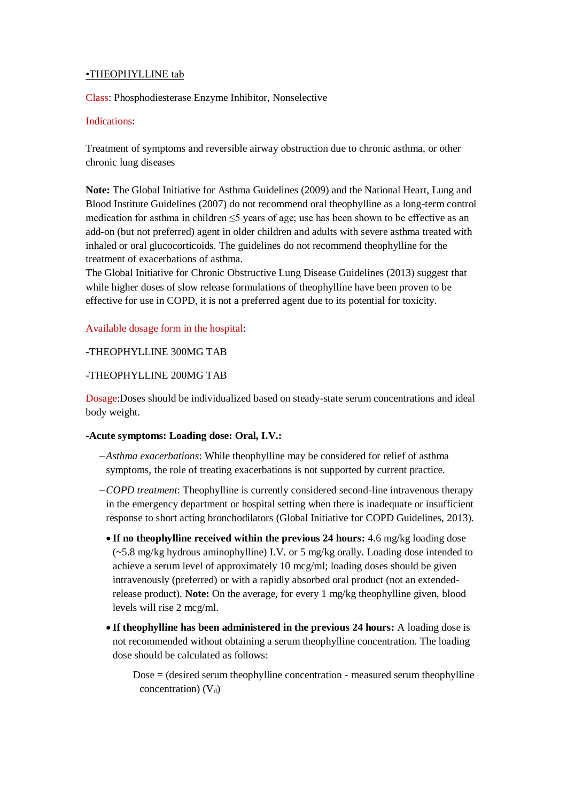## •THEOPHYLLINE tab

Class: Phosphodiesterase Enzyme Inhibitor, Nonselective

#### Indications:

Treatment of symptoms and reversible airway obstruction due to chronic asthma, or other chronic lung diseases

**Note:** The Global Initiative for Asthma Guidelines (2009) and the National Heart, Lung and Blood Institute Guidelines (2007) do not recommend oral theophylline as a long-term control medication for asthma in children ≤5 years of age; use has been shown to be effective as an add-on (but not preferred) agent in older children and adults with severe asthma treated with inhaled or oral glucocorticoids. The guidelines do not recommend theophylline for the treatment of exacerbations of asthma.

The Global Initiative for Chronic Obstructive Lung Disease Guidelines (2013) suggest that while higher doses of slow release formulations of theophylline have been proven to be effective for use in COPD, it is not a preferred agent due to its potential for toxicity.

## Available dosage form in the hospital:

## -THEOPHYLLINE 300MG TAB

## -THEOPHYLLINE 200MG TAB

Dosage:Doses should be individualized based on steady-state serum concentrations and ideal body weight.

#### **-Acute symptoms: Loading dose: Oral, I.V.:**

- *Asthma exacerbations*: While theophylline may be considered for relief of asthma symptoms, the role of treating exacerbations is not supported by current practice.
- *COPD treatment*: Theophylline is currently considered second-line intravenous therapy in the emergency department or hospital setting when there is inadequate or insufficient response to short acting bronchodilators (Global Initiative for COPD Guidelines, 2013).
	- **If no theophylline received within the previous 24 hours:** 4.6 mg/kg loading dose  $(-5.8 \text{ mg/kg}$  hydrous aminophylline) I.V. or 5 mg/kg orally. Loading dose intended to achieve a serum level of approximately 10 mcg/ml; loading doses should be given intravenously (preferred) or with a rapidly absorbed oral product (not an extendedrelease product). **Note:** On the average, for every 1 mg/kg theophylline given, blood levels will rise 2 mcg/ml.
	- **If theophylline has been administered in the previous 24 hours:** A loading dose is not recommended without obtaining a serum theophylline concentration. The loading dose should be calculated as follows:

 $Dose =$  (desired serum theophylline concentration - measured serum theophylline concentration)  $(V_d)$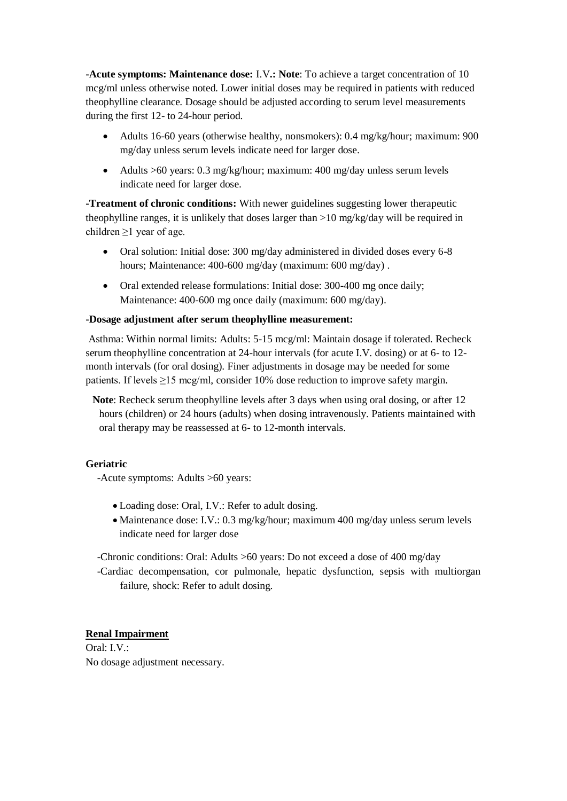**-Acute symptoms: Maintenance dose:** I.V**.: Note**: To achieve a target concentration of 10 mcg/ml unless otherwise noted. Lower initial doses may be required in patients with reduced theophylline clearance. Dosage should be adjusted according to serum level measurements during the first 12- to 24-hour period.

- Adults 16-60 years (otherwise healthy, nonsmokers): 0.4 mg/kg/hour; maximum: 900 mg/day unless serum levels indicate need for larger dose.
- Adults >60 years: 0.3 mg/kg/hour; maximum: 400 mg/day unless serum levels indicate need for larger dose.

**-Treatment of chronic conditions:** With newer guidelines suggesting lower therapeutic theophylline ranges, it is unlikely that doses larger than >10 mg/kg/day will be required in children  $\geq$ 1 year of age.

- Oral solution: Initial dose: 300 mg/day administered in divided doses every 6-8 hours; Maintenance: 400-600 mg/day (maximum: 600 mg/day) .
- Oral extended release formulations: Initial dose: 300-400 mg once daily; Maintenance: 400-600 mg once daily (maximum: 600 mg/day).

#### **-Dosage adjustment after serum theophylline measurement:**

Asthma: Within normal limits: Adults: 5-15 mcg/ml: Maintain dosage if tolerated. Recheck serum theophylline concentration at 24-hour intervals (for acute I.V. dosing) or at 6- to 12 month intervals (for oral dosing). Finer adjustments in dosage may be needed for some patients. If levels ≥15 mcg/ml, consider 10% dose reduction to improve safety margin.

**Note**: Recheck serum theophylline levels after 3 days when using oral dosing, or after 12 hours (children) or 24 hours (adults) when dosing intravenously. Patients maintained with oral therapy may be reassessed at 6- to 12-month intervals.

#### **Geriatric**

-Acute symptoms: Adults >60 years:

- Loading dose: Oral, I.V.: Refer to adult dosing.
- Maintenance dose: I.V.: 0.3 mg/kg/hour; maximum 400 mg/day unless serum levels indicate need for larger dose

-Chronic conditions: Oral: Adults >60 years: Do not exceed a dose of 400 mg/day

-Cardiac decompensation, cor pulmonale, hepatic dysfunction, sepsis with multiorgan failure, shock: Refer to adult dosing.

# **Renal Impairment**

Oral: I.V.: No dosage adjustment necessary.